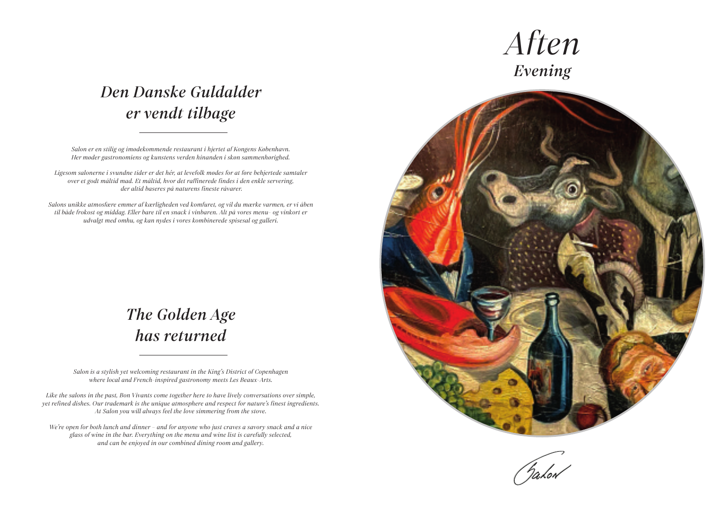### *The Golden Age has returned*

## *Den Danske Guldalder er vendt tilbage*

*Salon is a stylish yet welcoming restaurant in the King's District of Copenhagen where local and French-inspired gastronomy meets Les Beaux-Arts.*

*Like the salons in the past, Bon Vivants come together here to have lively conversations over simple, yet refined dishes. Our trademark is the unique atmosphere and respect for nature's finest ingredients. At Salon you will always feel the love simmering from the stove.*

*We're open for both lunch and dinner – and for anyone who just craves a savory snack and a nice glass of wine in the bar. Everything on the menu and wine list is carefully selected, and can be enjoyed in our combined dining room and gallery.*



Takon

# *Aften Evening*

*Salon er en stilig og imødekommende restaurant i hjertet af Kongens København. Her møder gastronomiens og kunstens verden hinanden i skøn sammenhørighed.*

*Ligesom salonerne i svundne tider er det hér, at levefolk mødes for at føre behjertede samtaler over et godt måltid mad. Et måltid, hvor det raffinerede findes i den enkle servering, der altid baseres på naturens fineste råvarer.* 

*Salons unikke atmosfære emmer af kærligheden ved komfuret, og vil du mærke varmen, er vi åben til både frokost og middag. Eller bare til en snack i vinbaren. Alt på vores menu- og vinkort er udvalgt med omhu, og kan nydes i vores kombinerede spisesal og galleri.*